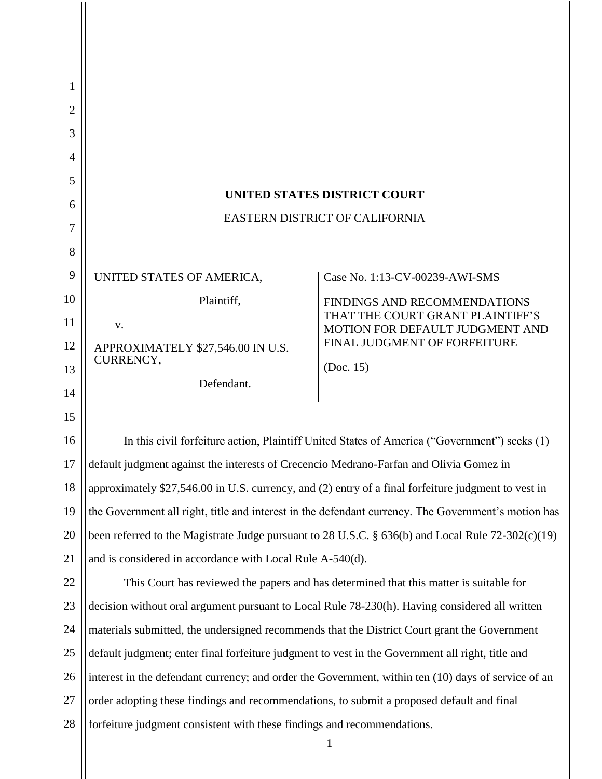| 1<br>2<br>3 |                                                                                                     |                                                                     |
|-------------|-----------------------------------------------------------------------------------------------------|---------------------------------------------------------------------|
| 4           |                                                                                                     |                                                                     |
| 5           |                                                                                                     |                                                                     |
| 6           | <b>UNITED STATES DISTRICT COURT</b><br>EASTERN DISTRICT OF CALIFORNIA                               |                                                                     |
| 7           |                                                                                                     |                                                                     |
| 8           |                                                                                                     |                                                                     |
| 9           | UNITED STATES OF AMERICA,                                                                           | Case No. 1:13-CV-00239-AWI-SMS                                      |
| 10          | Plaintiff,                                                                                          | FINDINGS AND RECOMMENDATIONS                                        |
| 11          | V.                                                                                                  | THAT THE COURT GRANT PLAINTIFF'S<br>MOTION FOR DEFAULT JUDGMENT AND |
| 12          | APPROXIMATELY \$27,546.00 IN U.S.<br>CURRENCY,                                                      | FINAL JUDGMENT OF FORFEITURE                                        |
| 13          | Defendant.                                                                                          | (Doc. 15)                                                           |
| 14          |                                                                                                     |                                                                     |
| 15          |                                                                                                     |                                                                     |
| 16          | In this civil forfeiture action, Plaintiff United States of America ("Government") seeks (1)        |                                                                     |
| 17          | default judgment against the interests of Crecencio Medrano-Farfan and Olivia Gomez in              |                                                                     |
| 18          | approximately \$27,546.00 in U.S. currency, and (2) entry of a final forfeiture judgment to vest in |                                                                     |
| 19          | the Government all right, title and interest in the defendant currency. The Government's motion has |                                                                     |
| 20          | been referred to the Magistrate Judge pursuant to 28 U.S.C. § 636(b) and Local Rule 72-302(c)(19)   |                                                                     |
| 21          | and is considered in accordance with Local Rule A-540(d).                                           |                                                                     |
| 22          | This Court has reviewed the papers and has determined that this matter is suitable for              |                                                                     |
| 23          | decision without oral argument pursuant to Local Rule 78-230(h). Having considered all written      |                                                                     |
| 24          | materials submitted, the undersigned recommends that the District Court grant the Government        |                                                                     |
| 25          | default judgment; enter final forfeiture judgment to vest in the Government all right, title and    |                                                                     |
| 26          | interest in the defendant currency; and order the Government, within ten (10) days of service of an |                                                                     |
| 27          | order adopting these findings and recommendations, to submit a proposed default and final           |                                                                     |
| 28          | forfeiture judgment consistent with these findings and recommendations.                             |                                                                     |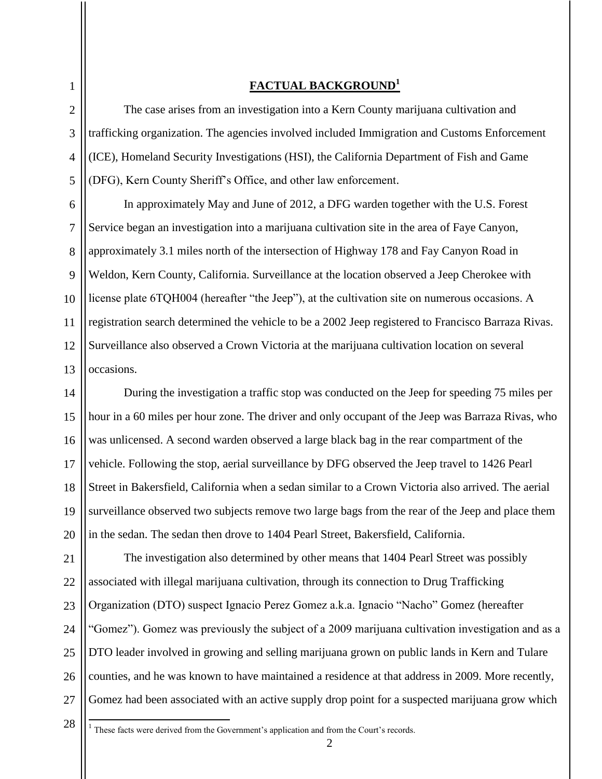# **FACTUAL BACKGROUND<sup>1</sup>**

The case arises from an investigation into a Kern County marijuana cultivation and trafficking organization. The agencies involved included Immigration and Customs Enforcement (ICE), Homeland Security Investigations (HSI), the California Department of Fish and Game (DFG), Kern County Sheriff's Office, and other law enforcement.

In approximately May and June of 2012, a DFG warden together with the U.S. Forest Service began an investigation into a marijuana cultivation site in the area of Faye Canyon, approximately 3.1 miles north of the intersection of Highway 178 and Fay Canyon Road in Weldon, Kern County, California. Surveillance at the location observed a Jeep Cherokee with license plate 6TQH004 (hereafter "the Jeep"), at the cultivation site on numerous occasions. A registration search determined the vehicle to be a 2002 Jeep registered to Francisco Barraza Rivas. Surveillance also observed a Crown Victoria at the marijuana cultivation location on several occasions.

During the investigation a traffic stop was conducted on the Jeep for speeding 75 miles per hour in a 60 miles per hour zone. The driver and only occupant of the Jeep was Barraza Rivas, who was unlicensed. A second warden observed a large black bag in the rear compartment of the vehicle. Following the stop, aerial surveillance by DFG observed the Jeep travel to 1426 Pearl Street in Bakersfield, California when a sedan similar to a Crown Victoria also arrived. The aerial surveillance observed two subjects remove two large bags from the rear of the Jeep and place them in the sedan. The sedan then drove to 1404 Pearl Street, Bakersfield, California.

21 22 23 24 25 26 27 The investigation also determined by other means that 1404 Pearl Street was possibly associated with illegal marijuana cultivation, through its connection to Drug Trafficking Organization (DTO) suspect Ignacio Perez Gomez a.k.a. Ignacio "Nacho" Gomez (hereafter "Gomez"). Gomez was previously the subject of a 2009 marijuana cultivation investigation and as a DTO leader involved in growing and selling marijuana grown on public lands in Kern and Tulare counties, and he was known to have maintained a residence at that address in 2009. More recently, Gomez had been associated with an active supply drop point for a suspected marijuana grow which

28

These facts were derived from the Government's application and from the Court's records.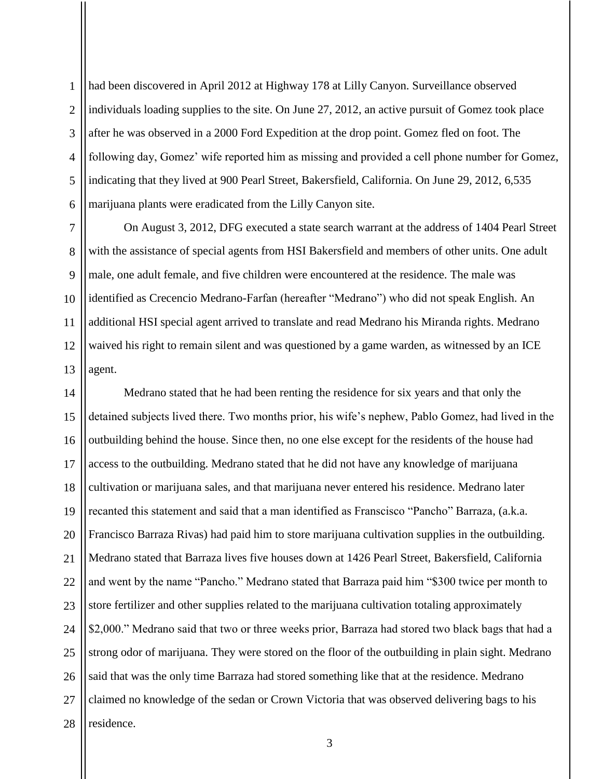1  $\mathfrak{D}$ 3 4 5 6 had been discovered in April 2012 at Highway 178 at Lilly Canyon. Surveillance observed individuals loading supplies to the site. On June 27, 2012, an active pursuit of Gomez took place after he was observed in a 2000 Ford Expedition at the drop point. Gomez fled on foot. The following day, Gomez' wife reported him as missing and provided a cell phone number for Gomez, indicating that they lived at 900 Pearl Street, Bakersfield, California. On June 29, 2012, 6,535 marijuana plants were eradicated from the Lilly Canyon site.

7 8 9 10 11 12 13 On August 3, 2012, DFG executed a state search warrant at the address of 1404 Pearl Street with the assistance of special agents from HSI Bakersfield and members of other units. One adult male, one adult female, and five children were encountered at the residence. The male was identified as Crecencio Medrano-Farfan (hereafter "Medrano") who did not speak English. An additional HSI special agent arrived to translate and read Medrano his Miranda rights. Medrano waived his right to remain silent and was questioned by a game warden, as witnessed by an ICE agent.

14 15 16 17 18 19 20 21 22 23 24 25 26 27 28 Medrano stated that he had been renting the residence for six years and that only the detained subjects lived there. Two months prior, his wife's nephew, Pablo Gomez, had lived in the outbuilding behind the house. Since then, no one else except for the residents of the house had access to the outbuilding. Medrano stated that he did not have any knowledge of marijuana cultivation or marijuana sales, and that marijuana never entered his residence. Medrano later recanted this statement and said that a man identified as Franscisco "Pancho" Barraza, (a.k.a. Francisco Barraza Rivas) had paid him to store marijuana cultivation supplies in the outbuilding. Medrano stated that Barraza lives five houses down at 1426 Pearl Street, Bakersfield, California and went by the name "Pancho." Medrano stated that Barraza paid him "\$300 twice per month to store fertilizer and other supplies related to the marijuana cultivation totaling approximately \$2,000." Medrano said that two or three weeks prior, Barraza had stored two black bags that had a strong odor of marijuana. They were stored on the floor of the outbuilding in plain sight. Medrano said that was the only time Barraza had stored something like that at the residence. Medrano claimed no knowledge of the sedan or Crown Victoria that was observed delivering bags to his residence.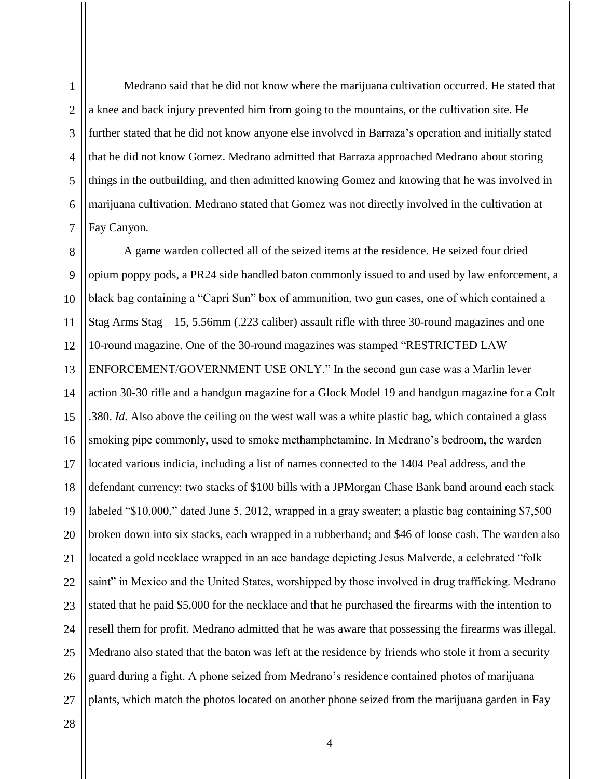1

Medrano said that he did not know where the marijuana cultivation occurred. He stated that a knee and back injury prevented him from going to the mountains, or the cultivation site. He further stated that he did not know anyone else involved in Barraza's operation and initially stated that he did not know Gomez. Medrano admitted that Barraza approached Medrano about storing things in the outbuilding, and then admitted knowing Gomez and knowing that he was involved in marijuana cultivation. Medrano stated that Gomez was not directly involved in the cultivation at Fay Canyon.

8 9 10 11 12 13 14 15 16 17 18 19 20 21 22 23 24 25 26 27 A game warden collected all of the seized items at the residence. He seized four dried opium poppy pods, a PR24 side handled baton commonly issued to and used by law enforcement, a black bag containing a "Capri Sun" box of ammunition, two gun cases, one of which contained a Stag Arms Stag – 15, 5.56mm (.223 caliber) assault rifle with three 30-round magazines and one 10-round magazine. One of the 30-round magazines was stamped "RESTRICTED LAW ENFORCEMENT/GOVERNMENT USE ONLY." In the second gun case was a Marlin lever action 30-30 rifle and a handgun magazine for a Glock Model 19 and handgun magazine for a Colt .380. *Id*. Also above the ceiling on the west wall was a white plastic bag, which contained a glass smoking pipe commonly, used to smoke methamphetamine. In Medrano's bedroom, the warden located various indicia, including a list of names connected to the 1404 Peal address, and the defendant currency: two stacks of \$100 bills with a JPMorgan Chase Bank band around each stack labeled "\$10,000," dated June 5, 2012, wrapped in a gray sweater; a plastic bag containing \$7,500 broken down into six stacks, each wrapped in a rubberband; and \$46 of loose cash. The warden also located a gold necklace wrapped in an ace bandage depicting Jesus Malverde, a celebrated "folk saint" in Mexico and the United States, worshipped by those involved in drug trafficking. Medrano stated that he paid \$5,000 for the necklace and that he purchased the firearms with the intention to resell them for profit. Medrano admitted that he was aware that possessing the firearms was illegal. Medrano also stated that the baton was left at the residence by friends who stole it from a security guard during a fight. A phone seized from Medrano's residence contained photos of marijuana plants, which match the photos located on another phone seized from the marijuana garden in Fay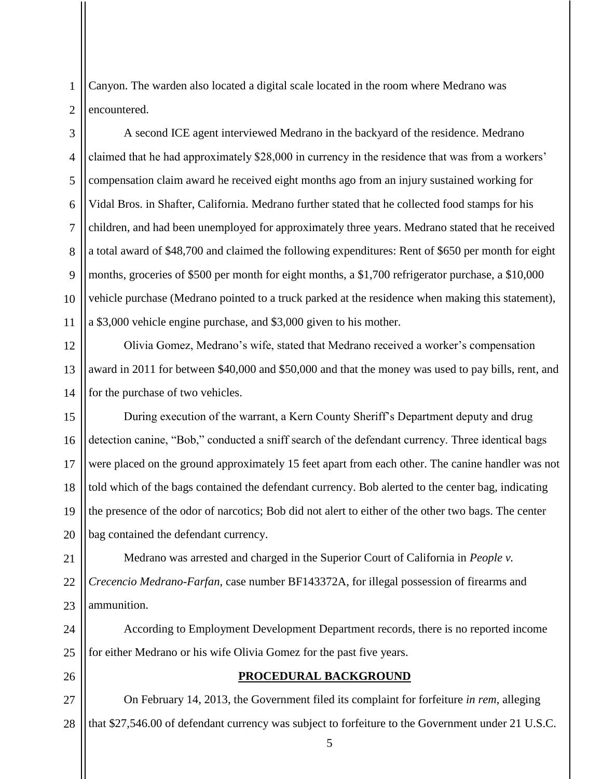Canyon. The warden also located a digital scale located in the room where Medrano was encountered.

3 4 5 6 7 8 9 10 11 A second ICE agent interviewed Medrano in the backyard of the residence. Medrano claimed that he had approximately \$28,000 in currency in the residence that was from a workers' compensation claim award he received eight months ago from an injury sustained working for Vidal Bros. in Shafter, California. Medrano further stated that he collected food stamps for his children, and had been unemployed for approximately three years. Medrano stated that he received a total award of \$48,700 and claimed the following expenditures: Rent of \$650 per month for eight months, groceries of \$500 per month for eight months, a \$1,700 refrigerator purchase, a \$10,000 vehicle purchase (Medrano pointed to a truck parked at the residence when making this statement), a \$3,000 vehicle engine purchase, and \$3,000 given to his mother.

12 13 14 Olivia Gomez, Medrano's wife, stated that Medrano received a worker's compensation award in 2011 for between \$40,000 and \$50,000 and that the money was used to pay bills, rent, and for the purchase of two vehicles.

15 16 17 18 19 20 During execution of the warrant, a Kern County Sheriff's Department deputy and drug detection canine, "Bob," conducted a sniff search of the defendant currency. Three identical bags were placed on the ground approximately 15 feet apart from each other. The canine handler was not told which of the bags contained the defendant currency. Bob alerted to the center bag, indicating the presence of the odor of narcotics; Bob did not alert to either of the other two bags. The center bag contained the defendant currency.

21 22 23 Medrano was arrested and charged in the Superior Court of California in *People v. Crecencio Medrano-Farfan*, case number BF143372A, for illegal possession of firearms and ammunition.

24 25 According to Employment Development Department records, there is no reported income for either Medrano or his wife Olivia Gomez for the past five years.

26

1

 $\mathfrak{D}$ 

## **PROCEDURAL BACKGROUND**

27 28 On February 14, 2013, the Government filed its complaint for forfeiture *in rem*, alleging that \$27,546.00 of defendant currency was subject to forfeiture to the Government under 21 U.S.C.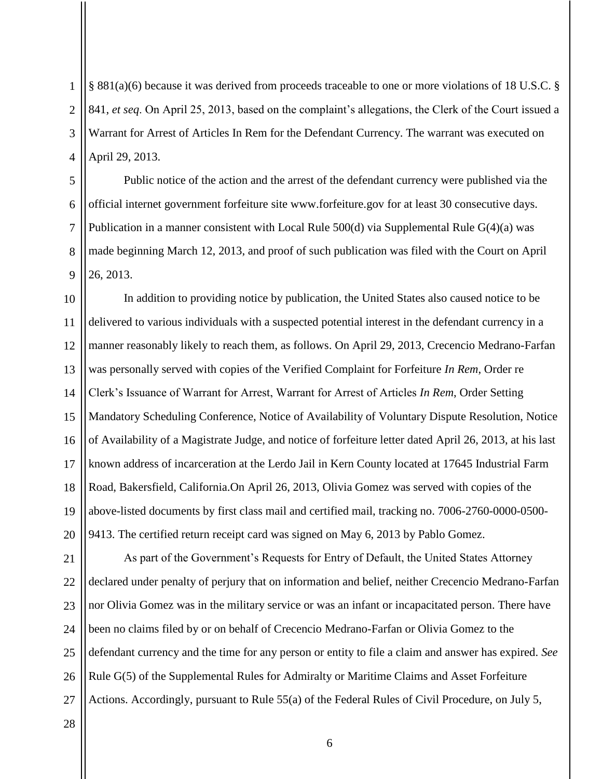§ 881(a)(6) because it was derived from proceeds traceable to one or more violations of 18 U.S.C. § 841, *et seq*. On April 25, 2013, based on the complaint's allegations, the Clerk of the Court issued a Warrant for Arrest of Articles In Rem for the Defendant Currency. The warrant was executed on April 29, 2013.

Public notice of the action and the arrest of the defendant currency were published via the official internet government forfeiture site www.forfeiture.gov for at least 30 consecutive days. Publication in a manner consistent with Local Rule 500(d) via Supplemental Rule G(4)(a) was made beginning March 12, 2013, and proof of such publication was filed with the Court on April 26, 2013.

10 11 12 13 14 15 16 17 18 19 20 In addition to providing notice by publication, the United States also caused notice to be delivered to various individuals with a suspected potential interest in the defendant currency in a manner reasonably likely to reach them, as follows. On April 29, 2013, Crecencio Medrano-Farfan was personally served with copies of the Verified Complaint for Forfeiture *In Rem*, Order re Clerk's Issuance of Warrant for Arrest, Warrant for Arrest of Articles *In Rem*, Order Setting Mandatory Scheduling Conference, Notice of Availability of Voluntary Dispute Resolution, Notice of Availability of a Magistrate Judge, and notice of forfeiture letter dated April 26, 2013, at his last known address of incarceration at the Lerdo Jail in Kern County located at 17645 Industrial Farm Road, Bakersfield, California.On April 26, 2013, Olivia Gomez was served with copies of the above-listed documents by first class mail and certified mail, tracking no. 7006-2760-0000-0500- 9413. The certified return receipt card was signed on May 6, 2013 by Pablo Gomez.

21 22 23 24 25 26 27 As part of the Government's Requests for Entry of Default, the United States Attorney declared under penalty of perjury that on information and belief, neither Crecencio Medrano-Farfan nor Olivia Gomez was in the military service or was an infant or incapacitated person. There have been no claims filed by or on behalf of Crecencio Medrano-Farfan or Olivia Gomez to the defendant currency and the time for any person or entity to file a claim and answer has expired. *See*  Rule G(5) of the Supplemental Rules for Admiralty or Maritime Claims and Asset Forfeiture Actions. Accordingly, pursuant to Rule 55(a) of the Federal Rules of Civil Procedure, on July 5,

28

1

2

3

4

5

6

7

8

9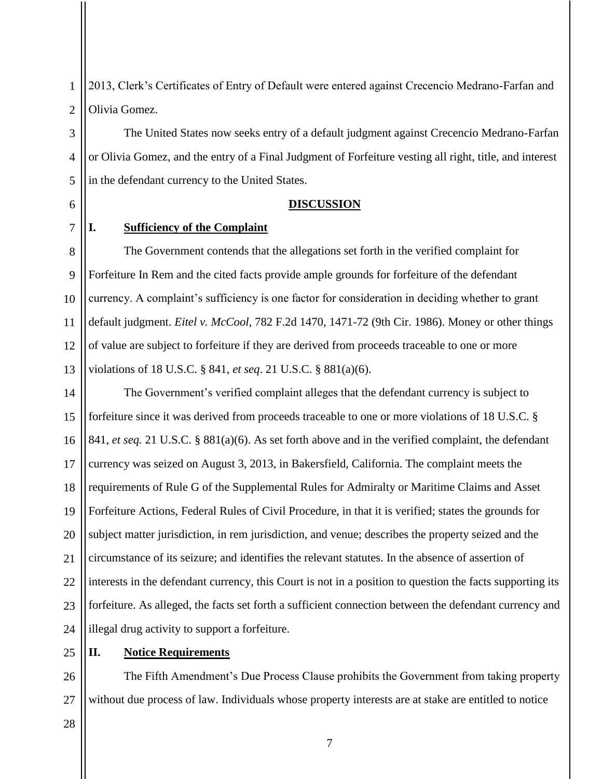2013, Clerk's Certificates of Entry of Default were entered against Crecencio Medrano-Farfan and Olivia Gomez.

The United States now seeks entry of a default judgment against Crecencio Medrano-Farfan or Olivia Gomez, and the entry of a Final Judgment of Forfeiture vesting all right, title, and interest in the defendant currency to the United States.

### **DISCUSSION**

## **I. Sufficiency of the Complaint**

1

2

3

4

5

6

7

8 9 10 11 12 13 The Government contends that the allegations set forth in the verified complaint for Forfeiture In Rem and the cited facts provide ample grounds for forfeiture of the defendant currency. A complaint's sufficiency is one factor for consideration in deciding whether to grant default judgment. *Eitel v. McCool*, 782 F.2d 1470, 1471-72 (9th Cir. 1986). Money or other things of value are subject to forfeiture if they are derived from proceeds traceable to one or more violations of 18 U.S.C. § 841, *et seq*. 21 U.S.C. § 881(a)(6).

14 15 16 17 18 19 20 21 22 23 24 The Government's verified complaint alleges that the defendant currency is subject to forfeiture since it was derived from proceeds traceable to one or more violations of 18 U.S.C. § 841, *et seq.* 21 U.S.C. § 881(a)(6). As set forth above and in the verified complaint, the defendant currency was seized on August 3, 2013, in Bakersfield, California. The complaint meets the requirements of Rule G of the Supplemental Rules for Admiralty or Maritime Claims and Asset Forfeiture Actions, Federal Rules of Civil Procedure, in that it is verified; states the grounds for subject matter jurisdiction, in rem jurisdiction, and venue; describes the property seized and the circumstance of its seizure; and identifies the relevant statutes. In the absence of assertion of interests in the defendant currency, this Court is not in a position to question the facts supporting its forfeiture. As alleged, the facts set forth a sufficient connection between the defendant currency and illegal drug activity to support a forfeiture.

#### 25 **II. Notice Requirements**

26 27 The Fifth Amendment's Due Process Clause prohibits the Government from taking property without due process of law. Individuals whose property interests are at stake are entitled to notice

28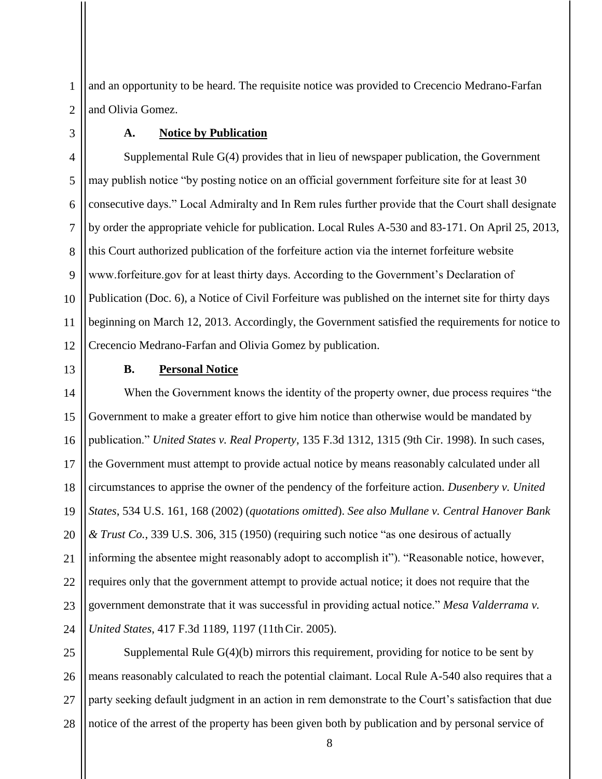and an opportunity to be heard. The requisite notice was provided to Crecencio Medrano-Farfan and Olivia Gomez.

### **A. Notice by Publication**

4 5 6 7 8 9 10 11 12 Supplemental Rule G(4) provides that in lieu of newspaper publication, the Government may publish notice "by posting notice on an official government forfeiture site for at least 30 consecutive days." Local Admiralty and In Rem rules further provide that the Court shall designate by order the appropriate vehicle for publication. Local Rules A-530 and 83-171. On April 25, 2013, this Court authorized publication of the forfeiture action via the internet forfeiture website www.forfeiture.gov for at least thirty days. According to the Government's Declaration of Publication (Doc. 6), a Notice of Civil Forfeiture was published on the internet site for thirty days beginning on March 12, 2013. Accordingly, the Government satisfied the requirements for notice to Crecencio Medrano-Farfan and Olivia Gomez by publication.

13

1

2

3

## **B. Personal Notice**

14 15 16 17 18 19 20 21 22 23 24 When the Government knows the identity of the property owner, due process requires "the Government to make a greater effort to give him notice than otherwise would be mandated by publication." *United States v. Real Property*, 135 F.3d 1312, 1315 (9th Cir. 1998). In such cases, the Government must attempt to provide actual notice by means reasonably calculated under all circumstances to apprise the owner of the pendency of the forfeiture action. *Dusenbery v. United States*, 534 U.S. 161, 168 (2002) (*quotations omitted*). *See also Mullane v. Central Hanover Bank & Trust Co.*, 339 U.S. 306, 315 (1950) (requiring such notice "as one desirous of actually informing the absentee might reasonably adopt to accomplish it"). "Reasonable notice, however, requires only that the government attempt to provide actual notice; it does not require that the government demonstrate that it was successful in providing actual notice." *Mesa Valderrama v. United States*, 417 F.3d 1189, 1197 (11thCir. 2005).

25 26 27 28 Supplemental Rule  $G(4)(b)$  mirrors this requirement, providing for notice to be sent by means reasonably calculated to reach the potential claimant. Local Rule A-540 also requires that a party seeking default judgment in an action in rem demonstrate to the Court's satisfaction that due notice of the arrest of the property has been given both by publication and by personal service of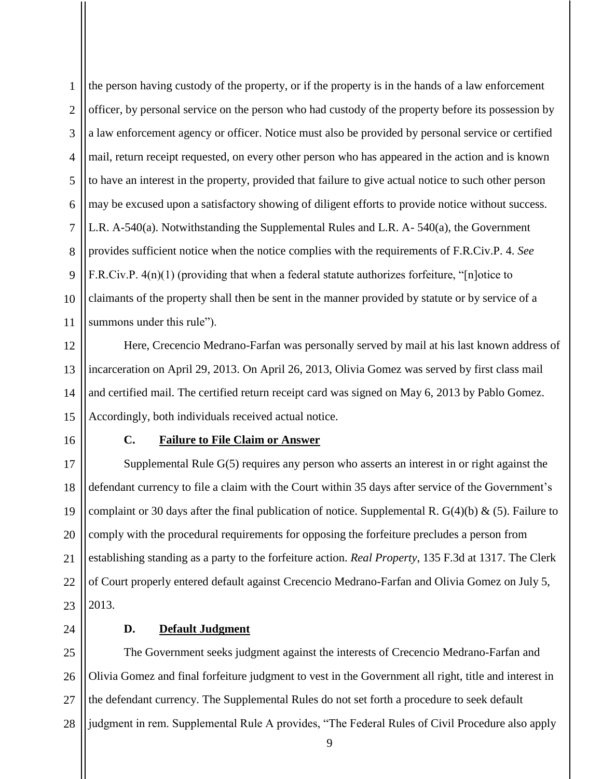1  $\mathfrak{D}$ 3 4 5 6 7 8 9 10 11 the person having custody of the property, or if the property is in the hands of a law enforcement officer, by personal service on the person who had custody of the property before its possession by a law enforcement agency or officer. Notice must also be provided by personal service or certified mail, return receipt requested, on every other person who has appeared in the action and is known to have an interest in the property, provided that failure to give actual notice to such other person may be excused upon a satisfactory showing of diligent efforts to provide notice without success. L.R. A-540(a). Notwithstanding the Supplemental Rules and L.R. A- 540(a), the Government provides sufficient notice when the notice complies with the requirements of F.R.Civ.P. 4. *See*  F.R.Civ.P. 4(n)(1) (providing that when a federal statute authorizes forfeiture, "[n]otice to claimants of the property shall then be sent in the manner provided by statute or by service of a summons under this rule").

12 13 14 15 Here, Crecencio Medrano-Farfan was personally served by mail at his last known address of incarceration on April 29, 2013. On April 26, 2013, Olivia Gomez was served by first class mail and certified mail. The certified return receipt card was signed on May 6, 2013 by Pablo Gomez. Accordingly, both individuals received actual notice.

16

## **C. Failure to File Claim or Answer**

17 18 19 20 21 22 23 Supplemental Rule G(5) requires any person who asserts an interest in or right against the defendant currency to file a claim with the Court within 35 days after service of the Government's complaint or 30 days after the final publication of notice. Supplemental R.  $G(4)(b) \& (5)$ . Failure to comply with the procedural requirements for opposing the forfeiture precludes a person from establishing standing as a party to the forfeiture action. *Real Property*, 135 F.3d at 1317. The Clerk of Court properly entered default against Crecencio Medrano-Farfan and Olivia Gomez on July 5, 2013.

24

## **D. Default Judgment**

25 26 27 28 The Government seeks judgment against the interests of Crecencio Medrano-Farfan and Olivia Gomez and final forfeiture judgment to vest in the Government all right, title and interest in the defendant currency. The Supplemental Rules do not set forth a procedure to seek default judgment in rem. Supplemental Rule A provides, "The Federal Rules of Civil Procedure also apply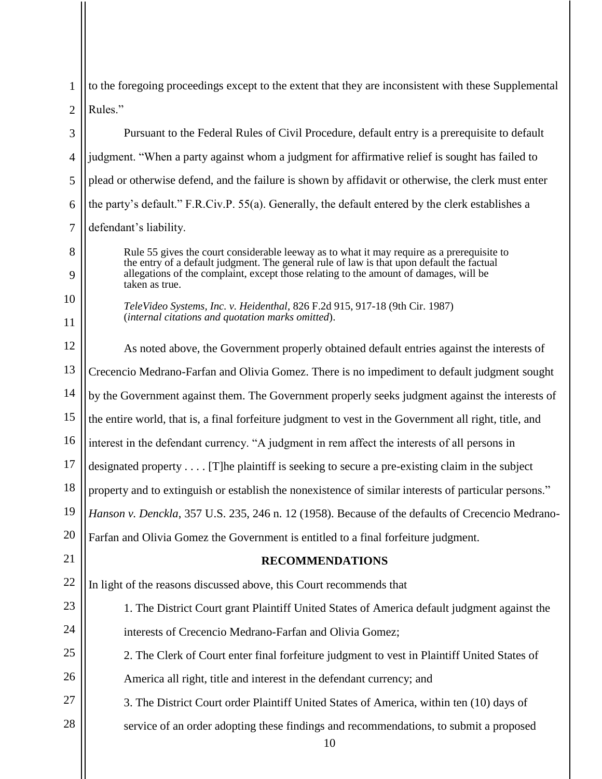$\mathfrak{D}$ to the foregoing proceedings except to the extent that they are inconsistent with these Supplemental Rules."

3 4 5 6 7 Pursuant to the Federal Rules of Civil Procedure, default entry is a prerequisite to default judgment. "When a party against whom a judgment for affirmative relief is sought has failed to plead or otherwise defend, and the failure is shown by affidavit or otherwise, the clerk must enter the party's default." F.R.Civ.P. 55(a). Generally, the default entered by the clerk establishes a defendant's liability.

> Rule 55 gives the court considerable leeway as to what it may require as a prerequisite to the entry of a default judgment. The general rule of law is that upon default the factual allegations of the complaint, except those relating to the amount of damages, will be taken as true.

*TeleVideo Systems, Inc. v. Heidenthal*, 826 F.2d 915, 917-18 (9th Cir. 1987) (*internal citations and quotation marks omitted*).

1

8

 $\mathbf Q$ 

10

11

12 13 14 15 16 17 18 19 20 21 22 23 24 25 26 27 28 10 As noted above, the Government properly obtained default entries against the interests of Crecencio Medrano-Farfan and Olivia Gomez. There is no impediment to default judgment sought by the Government against them. The Government properly seeks judgment against the interests of the entire world, that is, a final forfeiture judgment to vest in the Government all right, title, and interest in the defendant currency. "A judgment in rem affect the interests of all persons in designated property . . . . [T]he plaintiff is seeking to secure a pre-existing claim in the subject property and to extinguish or establish the nonexistence of similar interests of particular persons." *Hanson v. Denckla*, 357 U.S. 235, 246 n. 12 (1958). Because of the defaults of Crecencio Medrano-Farfan and Olivia Gomez the Government is entitled to a final forfeiture judgment. **RECOMMENDATIONS** In light of the reasons discussed above, this Court recommends that 1. The District Court grant Plaintiff United States of America default judgment against the interests of Crecencio Medrano-Farfan and Olivia Gomez; 2. The Clerk of Court enter final forfeiture judgment to vest in Plaintiff United States of America all right, title and interest in the defendant currency; and 3. The District Court order Plaintiff United States of America, within ten (10) days of service of an order adopting these findings and recommendations, to submit a proposed